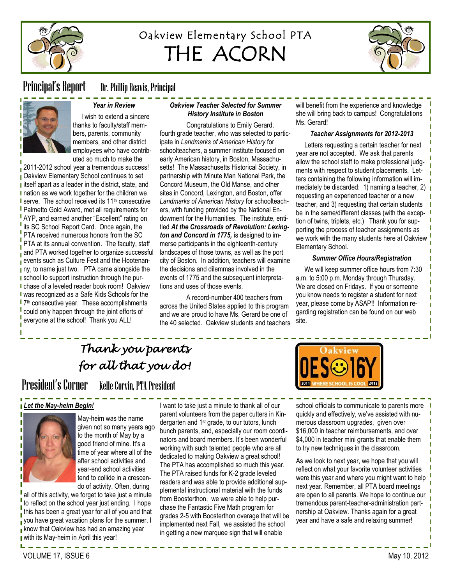

# Oakview Elementary School PTA THE ACORN



Principal's Report Dr. Phillip Reavis, Principal



## *Year in Review*

 I wish to extend a sincere thanks to faculty/staff members, parents, community members, and other district employees who have contributed so much to make the

2011-2012 school year a tremendous success! **Qakview Elementary School continues to set I** itself apart as a leader in the district, state, and I nation as we work together for the children we **I** serve. The school received its 11<sup>th</sup> consecutive **Palmetto Gold Award, met all requirements for** AYP, and earned another "Excellent" rating on its SC School Report Card. Once again, the PTA received numerous honors from the SC PTA at its annual convention. The faculty, staff and PTA worked together to organize successful **events such as Culture Fest and the Hootenan**ny, to name just two. PTA came alongside the **school to support instruction through the pur-**I chase of a leveled reader book room! Oakview was recognized as a Safe Kids Schools for the 7 th consecutive year. These accomplishments could only happen through the joint efforts of everyone at the school! Thank you ALL!

#### *Oakview Teacher Selected for Summer History Institute in Boston*

Congratulations to Emily Gerard, fourth grade teacher, who was selected to participate in *Landmarks of American History* for schoolteachers, a summer institute focused on early American history, in Boston, Massachusetts! The Massachusetts Historical Society, in partnership with Minute Man National Park, the Concord Museum, the Old Manse, and other sites in Concord, Lexington, and Boston, offer *Landmarks of American History* for schoolteachers, with funding provided by the [National En](http://www.neh.gov/)[dowment for the Humanities.](http://www.neh.gov/) The institute, entitled *At the Crossroads of Revolution: Lexington and Concord in 1775,* is designed to immerse participants in the eighteenth-century landscapes of those towns, as well as the port city of Boston. In addition, teachers will examine the decisions and dilemmas involved in the events of 1775 and the subsequent interpretations and uses of those events.

A record-number 400 teachers from across the United States applied to this program and we are proud to have Ms. Gerard be one of the 40 selected. Oakview students and teachers will benefit from the experience and knowledge she will bring back to campus! Congratulations Ms. Gerard!

#### *Teacher Assignments for 2012-2013*

 Letters requesting a certain teacher for next year are not accepted. We ask that parents allow the school staff to make professional judgments with respect to student placements. Letters containing the following information will immediately be discarded: 1) naming a teacher, 2)  $\blacksquare$ requesting an experienced teacher or a new teacher, and 3) requesting that certain students be in the same/different classes (with the exception of twins, triplets, etc.) Thank you for supporting the process of teacher assignments as we work with the many students here at Oakview Elementary School.

#### *Summer Office Hours/Registration*

 We will keep summer office hours from 7:30 a.m. to 5:00 p.m. Monday through Thursday. We are closed on Fridays. If you or someone you know needs to register a student for next year, please come by ASAP!! Information regarding registration can be found on our web site.

# *Thank you parents for all that you do!*

# President's Corner Kelle Corvin, PTA President

school officials to communicate to parents more quickly and effectively, we've assisted with numerous classroom upgrades, given over \$16,000 in teacher reimbursements, and over \$4,000 in teacher mini grants that enable them to try new techniques in the classroom.

As we look to next year, we hope that you will reflect on what your favorite volunteer activities were this year and where you might want to help next year. Remember, all PTA board meetings are open to all parents. We hope to continue our tremendous parent-teacher-administration partnership at Oakview. Thanks again for a great year and have a safe and relaxing summer!





May-heim was the name given not so many years ago to the month of May by a good friend of mine. It's a time of year where all of the after school activities and year-end school activities tend to collide in a crescendo of activity. Often, during

all of this activity, we forget to take just a minute to reflect on the school year just ending. I hope this has been a great year for all of you and that vou have great vacation plans for the summer. I  $\frac{1}{\sqrt{2}}$  know that Oakview has had an amazing year with its May-heim in April this year!

VOLUME 17, ISSUE 6 May 10, 2012

I want to take just a minute to thank all of our parent volunteers from the paper cutters in Kindergarten and 1<sup>st</sup> grade, to our tutors, lunch bunch parents, and, especially our room coordinators and board members. It's been wonderful working with such talented people who are all dedicated to making Oakview a great school! The PTA has accomplished so much this year. The PTA raised funds for K-2 grade leveled readers and was able to provide additional supplemental instructional material with the funds from Boosterthon, we were able to help purchase the Fantastic Five Math program for grades 2-5 with Boosterthon overage that will be implemented next Fall, we assisted the school in getting a new marquee sign that will enable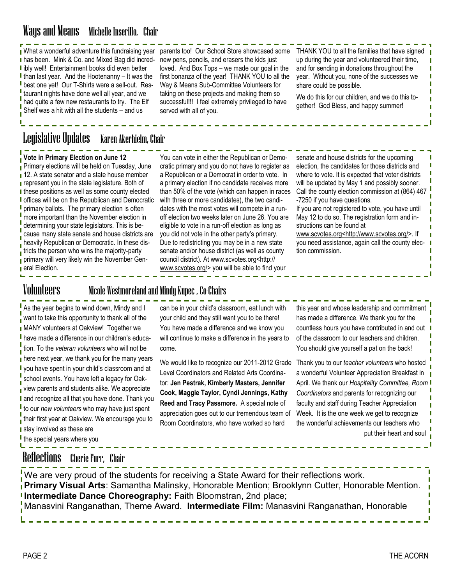# Ways and Means Michelle Inserillo, Chair

What a wonderful adventure this fundraising year parents too! Our School Store showcased some **I** has been. Mink & Co. and Mixed Bag did incred-I ibly well! Entertainment books did even better I than last year. And the Hootenanny  $-$  It was the best one yet! Our T-Shirts were a sell-out. Restaurant nights have done well all year, and we had quite a few new restaurants to try. The Elf Shelf was a hit with all the students – and us

new pens, pencils, and erasers the kids just loved. And Box Tops – we made our goal in the first bonanza of the year! THANK YOU to all the Way & Means Sub-Committee Volunteers for taking on these projects and making them so successful!!! I feel extremely privileged to have served with all of you.

THANK YOU to all the families that have signed up during the year and volunteered their time, and for sending in donations throughout the year. Without you, none of the successes we share could be possible.

Ī

We do this for our children, and we do this together! God Bless, and happy summer!

# Legislative Updates Karen Akerhielm, Chair

### **Vote in Primary Election on June 12**

Primary elections will be held on Tuesday, June 12. A state senator and a state house member **represent you in the state legislature. Both of** I these positions as well as some county elected **I** offices will be on the Republican and Democratic **I** primary ballots. The primary election is often more important than the November election in determining your state legislators. This is because many state senate and house districts are heavily Republican or Democratic. In these districts the person who wins the majority-party primary will very likely win the November Gen**eral Election.** 

You can vote in either the Republican or Democratic primary and you do not have to register as a Republican or a Democrat in order to vote. In a primary election if no candidate receives more than 50% of the vote (which can happen in races with three or more candidates), the two candidates with the most votes will compete in a runoff election two weeks later on June 26. You are eligible to vote in a run-off election as long as you did not vote in the other party's primary. Due to redistricting you may be in a new state senate and/or house district (as well as county council district). At [www.scvotes.org<http://](http://www.scvotes.org%3chttp:/www.scvotes.org/) [www.scvotes.org/>](http://www.scvotes.org%3chttp:/www.scvotes.org/) you will be able to find your

senate and house districts for the upcoming election, the candidates for those districts and where to vote. It is expected that voter districts will be updated by May 1 and possibly sooner. Call the county election commission at (864) 467 -7250 if you have questions. If you are not registered to vote, you have until May 12 to do so. The registration form and instructions can be found at [www.scvotes.org<http://www.scvotes.org/>.](http://www.scvotes.org%3chttp:/www.scvotes.org/) If you need assistance, again call the county election commission.

### Volunteers Nicole Westmoreland and Mindy Kupec , Co-Chairs

As the year begins to wind down, Mindy and I want to take this opportunity to thank all of the **I** MANY volunteers at Oakview! Together we have made a difference in our children's education. To the *veteran volunteers* who will not be here next year, we thank you for the many years you have spent in your child's classroom and at school events. You have left a legacy for Oakview parents and students alike. We appreciate I and recognize all that you have done. Thank you to our *new volunteers* who may have just spent their first year at Oakview. We encourage you to I stay involved as these are I the special years where you

can be in your child's classroom, eat lunch with your child and they still want you to be there! You have made a difference and we know you will continue to make a difference in the years to come.

We would like to recognize our 2011-2012 Grade Level Coordinators and Related Arts Coordinator: **Jen Pestrak, Kimberly Masters, Jennifer Cook, Maggie Taylor, Cyndi Jennings, Kathy Reed and Tracy Passmore.** A special note of appreciation goes out to our tremendous team of Room Coordinators, who have worked so hard

this year and whose leadership and commitment has made a difference. We thank you for the countless hours you have contributed in and out of the classroom to our teachers and children. You should give yourself a pat on the back!

Thank you to our *teacher volunteers* who hosted a wonderful Volunteer Appreciation Breakfast in April. We thank our *Hospitality Committee, Room Coordinators* and parents for recognizing our faculty and staff during Teacher Appreciation Week. It is the one week we get to recognize the wonderful achievements our teachers who put their heart and soul

### Reflections Cherie Furr, Chair

We are very proud of the students for receiving a State Award for their reflections work. **Primary Visual Arts**: Samantha Malinsky, Honorable Mention; Brooklynn Cutter, Honorable Mention. **Intermediate Dance Choreography:** Faith Bloomstran, 2nd place; Manasvini Ranganathan, Theme Award. **Intermediate Film:** Manasvini Ranganathan, Honorable